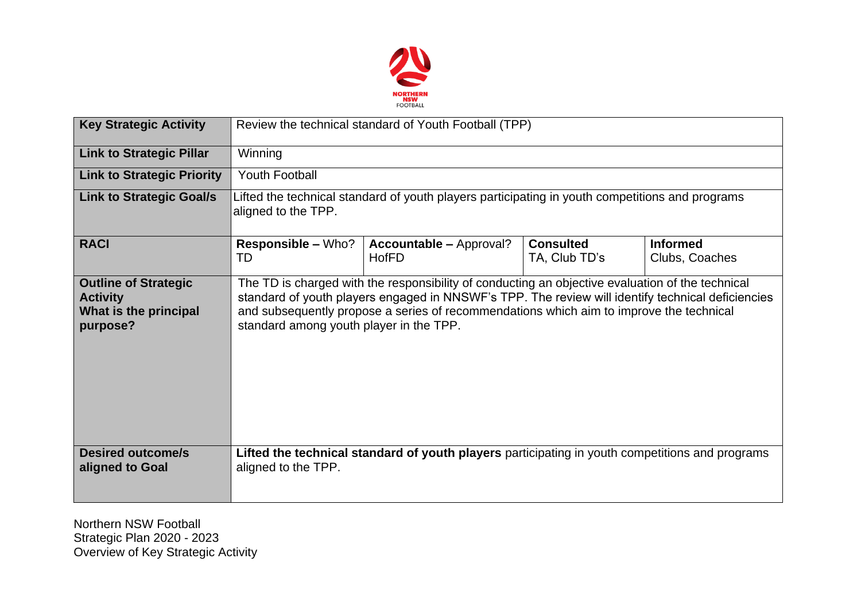

| <b>Key Strategic Activity</b>                                                       | Review the technical standard of Youth Football (TPP)                                                                  |                                                                                                                                                                                                                                                                                                  |                                   |                                   |  |  |  |
|-------------------------------------------------------------------------------------|------------------------------------------------------------------------------------------------------------------------|--------------------------------------------------------------------------------------------------------------------------------------------------------------------------------------------------------------------------------------------------------------------------------------------------|-----------------------------------|-----------------------------------|--|--|--|
| <b>Link to Strategic Pillar</b>                                                     | Winning                                                                                                                |                                                                                                                                                                                                                                                                                                  |                                   |                                   |  |  |  |
| <b>Link to Strategic Priority</b>                                                   | <b>Youth Football</b>                                                                                                  |                                                                                                                                                                                                                                                                                                  |                                   |                                   |  |  |  |
| <b>Link to Strategic Goal/s</b>                                                     | Lifted the technical standard of youth players participating in youth competitions and programs<br>aligned to the TPP. |                                                                                                                                                                                                                                                                                                  |                                   |                                   |  |  |  |
| <b>RACI</b>                                                                         | <b>Responsible – Who?</b><br>TD                                                                                        | <b>Accountable – Approval?</b><br><b>HofFD</b>                                                                                                                                                                                                                                                   | <b>Consulted</b><br>TA, Club TD's | <b>Informed</b><br>Clubs, Coaches |  |  |  |
| <b>Outline of Strategic</b><br><b>Activity</b><br>What is the principal<br>purpose? | standard among youth player in the TPP.                                                                                | The TD is charged with the responsibility of conducting an objective evaluation of the technical<br>standard of youth players engaged in NNSWF's TPP. The review will identify technical deficiencies<br>and subsequently propose a series of recommendations which aim to improve the technical |                                   |                                   |  |  |  |
| <b>Desired outcome/s</b><br>aligned to Goal                                         | aligned to the TPP.                                                                                                    | Lifted the technical standard of youth players participating in youth competitions and programs                                                                                                                                                                                                  |                                   |                                   |  |  |  |

Northern NSW Football Strategic Plan 2020 - 2023 Overview of Key Strategic Activity